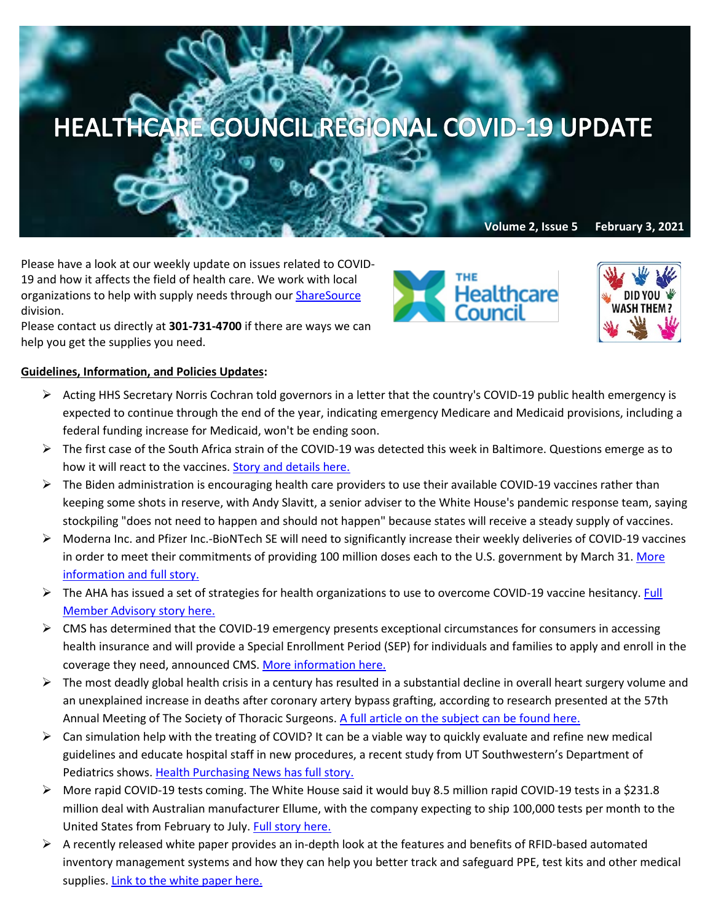## HEALTHCARE COUNCIL REGIONAL COVID-19 UPDATE

**Volume 2, Issue 5 February 3, 2021**

Please have a look at our weekly update on issues related to COVID-19 and how it affects the field of health care. We work with local organizations to help with supply needs through our [ShareSource](https://www.share-source.org/) division.

Please contact us directly at **301-731-4700** if there are ways we can help you get the supplies you need.

## **Guidelines, Information, and Policies Updates:**

- $\triangleright$  Acting HHS Secretary Norris Cochran told governors in a letter that the country's COVID-19 public health emergency is expected to continue through the end of the year, indicating emergency Medicare and Medicaid provisions, including a federal funding increase for Medicaid, won't be ending soon.
- The first case of the South Africa strain of the COVID-19 was detected this week in Baltimore. Questions emerge as to how it will react to the vaccines. [Story and details here.](https://www.baltimoresun.com/coronavirus/bs-md-south-africa-variant-20210130-dp5urrqwwvdxhalocgqbpe4tee-story.html)
- $\triangleright$  The Biden administration is encouraging health care providers to use their available COVID-19 vaccines rather than keeping some shots in reserve, with Andy Slavitt, a senior adviser to the White House's pandemic response team, saying stockpiling "does not need to happen and should not happen" because states will receive a steady supply of vaccines.
- $\triangleright$  Moderna Inc. and Pfizer Inc.-BioNTech SE will need to significantly increase their weekly deliveries of COVID-19 vaccines in order to meet their commitments of providing 100 million doses each to the U.S. government by March 31. More [information and full story.](https://www.npr.org/sections/health-shots/2021/02/01/962954518/moderna-increases-covid-19-vaccine-shipments-while-pfizer-lags-behind?mkt_tok=eyJpIjoiWkRSbFlqQm1PR1JoTnpnMSIsInQiOiJUNkRTR2hUWjVlVHNicmlISjIxajNqV0Q0bzhQellRTnV6aU9DYWp0djB1RVlKMkJTS2hQVEdzXC9WN1lXN1grQmJVZFwvWllrbG1BNWwzZFBSMHVZU1dVc0lzXC9YSzRYSjZPQVBmV0ZQM0NNQ2VJUkdOY01qaU5sWVVoN2M3MVpnRyJ9)
- $\triangleright$  The AHA has issued a set of strategies for health organizations to use to overcome COVID-19 vaccine hesitancy. Full [Member Advisory story here.](https://contentsharing.net/actions/email_web_version.cfm?ep=Bdhtp-zVuqFkgQiV6-lxty0f-nrLBJWzuTngPvD-5dXtzJxaLq2QAPAdaxj9aGjlCNrRkSoTO-_6m4UBMNmtu5bLaq5PC827KJnPqqS8f_ke-eqJasaQN9CZWp0hl73T)
- $\triangleright$  CMS has determined that the COVID-19 emergency presents exceptional circumstances for consumers in accessing health insurance and will provide a Special Enrollment Period (SEP) for individuals and families to apply and enroll in the coverage they need, announced CMS[. More information here.](https://www.hpnonline.com/patient-satisfaction/population-health-care-continuum/article/21208233/cms-announces-2021-special-enrollment-period-in-response-to-the-covid19-emergency?utm_source=HPN+Daily+Newsletter&utm_medium=email&utm_campaign=CPS210201021&o_eid=8887J6354667A2S&rdx.ident=%5bobject+Object%5d&oly_enc_id=8887J6354667A2S)
- $\triangleright$  The most deadly global health crisis in a century has resulted in a substantial decline in overall heart surgery volume and an unexplained increase in deaths after coronary artery bypass grafting, according to research presented at the 57th Annual Meeting of The Society of Thoracic Surgeons. [A full article on the subject can be found here.](https://www.hpnonline.com/surgical-critical-care/article/21208446/covid-effect-leads-to-fewer-heart-surgeries-more-patient-deaths?utm_source=HPN+Daily+Newsletter&utm_medium=email&utm_campaign=CPS210202051&o_eid=8887J6354667A2S&rdx.ident=%5bobject+Object%5d&oly_enc_id=8887J6354667A2S)
- $\triangleright$  Can simulation help with the treating of COVID? It can be a viable way to quickly evaluate and refine new medical guidelines and educate hospital staff in new procedures, a recent study from UT Southwestern's Department of Pediatrics shows[. Health Purchasing News has full story.](https://www.hpnonline.com/surgical-critical-care/article/21208438/simulation-helps-refine-pediatric-care-guidelines-for-covid19?utm_source=HPN+Daily+Newsletter&utm_medium=email&utm_campaign=CPS210202051&o_eid=8887J6354667A2S&rdx.ident=%5bobject+Object%5d&oly_enc_id=8887J6354667A2S)
- More rapid COVID-19 tests coming. The White House said it would buy 8.5 million rapid COVID-19 tests in a \$231.8 million deal with Australian manufacturer Ellume, with the company expecting to ship 100,000 tests per month to the United States from February to July[. Full story here.](https://www.washingtonpost.com/health/2021/02/01/coronavirus-home-test-ellume/?mkt_tok=eyJpIjoiWkRSbFlqQm1PR1JoTnpnMSIsInQiOiJUNkRTR2hUWjVlVHNicmlISjIxajNqV0Q0bzhQellRTnV6aU9DYWp0djB1RVlKMkJTS2hQVEdzXC9WN1lXN1grQmJVZFwvWllrbG1BNWwzZFBSMHVZU1dVc0lzXC9YSzRYSjZPQVBmV0ZQM0NNQ2VJUkdOY01qaU5sWVVoN2M3MVpnRyJ9)
- $\triangleright$  A recently released white paper provides an in-depth look at the features and benefits of RFID-based automated inventory management systems and how they can help you better track and safeguard PPE, test kits and other medical supplies[. Link to the white paper here.](https://www.hpnonline.com/whitepapers/whitepaper/21156292/the-time-is-now?utm_source=HPN+Daily+Newsletter&utm_medium=email&utm_campaign=CPS210201021&o_eid=8887J6354667A2S&rdx.ident%5bpull%5d=omeda%7C8887J6354667A2S&oly_enc_id=8887J6354667A2S)